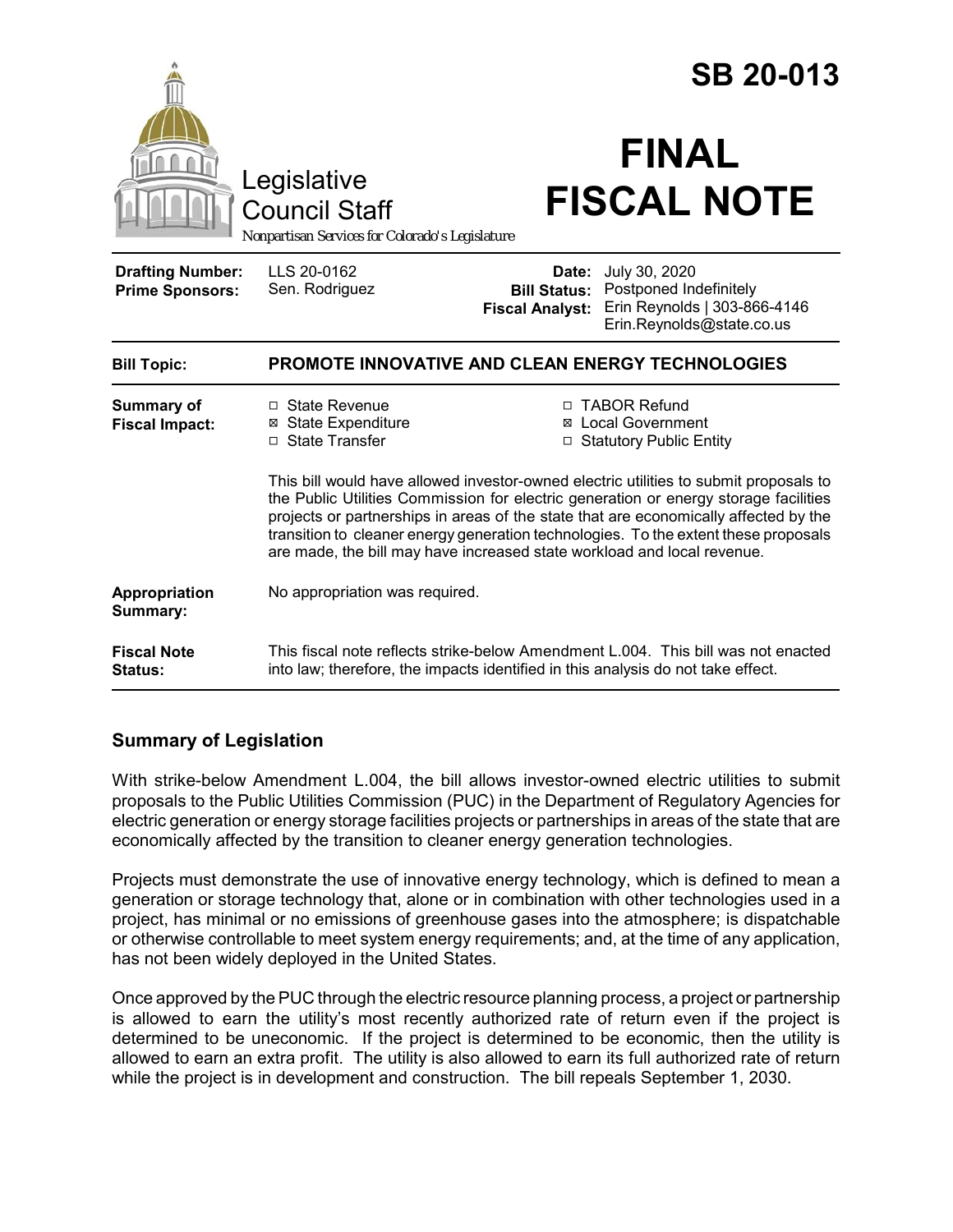|                                                   | Legislative<br><b>Council Staff</b>                                                                                                                                                                                                                                                                                                                                                                                                     |                                               | <b>SB 20-013</b><br><b>FINAL</b><br><b>FISCAL NOTE</b>                                                            |
|---------------------------------------------------|-----------------------------------------------------------------------------------------------------------------------------------------------------------------------------------------------------------------------------------------------------------------------------------------------------------------------------------------------------------------------------------------------------------------------------------------|-----------------------------------------------|-------------------------------------------------------------------------------------------------------------------|
| Nonpartisan Services for Colorado's Legislature   |                                                                                                                                                                                                                                                                                                                                                                                                                                         |                                               |                                                                                                                   |
| <b>Drafting Number:</b><br><b>Prime Sponsors:</b> | LLS 20-0162<br>Sen. Rodriguez                                                                                                                                                                                                                                                                                                                                                                                                           | <b>Bill Status:</b><br><b>Fiscal Analyst:</b> | <b>Date:</b> July 30, 2020<br>Postponed Indefinitely<br>Erin Reynolds   303-866-4146<br>Erin.Reynolds@state.co.us |
| <b>Bill Topic:</b>                                | <b>PROMOTE INNOVATIVE AND CLEAN ENERGY TECHNOLOGIES</b>                                                                                                                                                                                                                                                                                                                                                                                 |                                               |                                                                                                                   |
| Summary of<br><b>Fiscal Impact:</b>               | $\Box$ State Revenue<br>⊠ State Expenditure<br>$\Box$ State Transfer                                                                                                                                                                                                                                                                                                                                                                    |                                               | □ TABOR Refund<br>⊠ Local Government<br>□ Statutory Public Entity                                                 |
|                                                   | This bill would have allowed investor-owned electric utilities to submit proposals to<br>the Public Utilities Commission for electric generation or energy storage facilities<br>projects or partnerships in areas of the state that are economically affected by the<br>transition to cleaner energy generation technologies. To the extent these proposals<br>are made, the bill may have increased state workload and local revenue. |                                               |                                                                                                                   |
| Appropriation<br>Summary:                         | No appropriation was required.                                                                                                                                                                                                                                                                                                                                                                                                          |                                               |                                                                                                                   |
| <b>Fiscal Note</b><br>Status:                     | This fiscal note reflects strike-below Amendment L.004. This bill was not enacted<br>into law; therefore, the impacts identified in this analysis do not take effect.                                                                                                                                                                                                                                                                   |                                               |                                                                                                                   |

# **Summary of Legislation**

With strike-below Amendment L.004, the bill allows investor-owned electric utilities to submit proposals to the Public Utilities Commission (PUC) in the Department of Regulatory Agencies for electric generation or energy storage facilities projects or partnerships in areas of the state that are economically affected by the transition to cleaner energy generation technologies.

Projects must demonstrate the use of innovative energy technology, which is defined to mean a generation or storage technology that, alone or in combination with other technologies used in a project, has minimal or no emissions of greenhouse gases into the atmosphere; is dispatchable or otherwise controllable to meet system energy requirements; and, at the time of any application, has not been widely deployed in the United States.

Once approved by the PUC through the electric resource planning process, a project or partnership is allowed to earn the utility's most recently authorized rate of return even if the project is determined to be uneconomic. If the project is determined to be economic, then the utility is allowed to earn an extra profit. The utility is also allowed to earn its full authorized rate of return while the project is in development and construction. The bill repeals September 1, 2030.